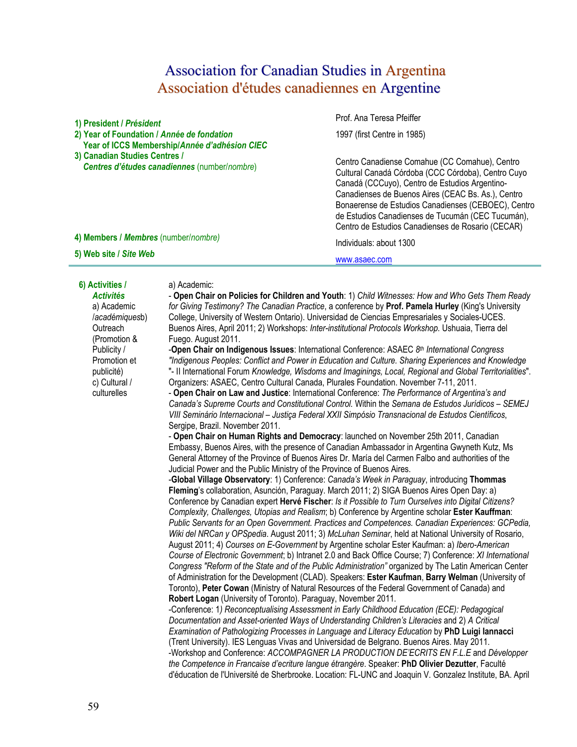# Association for Canadian Studies in Argentina Association d'études canadiennes en Argentine

**1) President /** *Président* Prof. Ana Teresa Pfeiffer **2) Year of Foundation /** *Année de fondation*   **Year of ICCS Membership/***Année d'adhésion CIEC* 1997 (first Centre in 1985) **3) Canadian Studies Centres /** *Centres d'études canadiennes* (number/*nombre*) Centro Canadiense Comahue (CC Comahue), Centro Cultural Canadá Córdoba (CCC Córdoba), Centro Cuyo Canadá (CCCuyo), Centro de Estudios Argentino-Canadienses de Buenos Aires (CEAC Bs. As.), Centro Bonaerense de Estudios Canadienses (CEBOEC), Centro de Estudios Canadienses de Tucumán (CEC Tucumán), Centro de Estudios Canadienses de Rosario (CECAR) **4) Members /** *Membres* (number/*nombre)* Individuals: about 1300 **5) Web site /** *Site Web*  www.asaec.com

# **6) Activities /**

#### a) Academic:

*Activités* a) Academic /*académiques*b) **Outreach** (Promotion & Publicity / Promotion et publicité) c) Cultural / culturelles

- **Open Chair on Policies for Children and Youth**: 1) *Child Witnesses: How and Who Gets Them Ready for Giving Testimony? The Canadian Practice*, a conference by **Prof. Pamela Hurley** (King's University College, University of Western Ontario). Universidad de Ciencias Empresariales y Sociales-UCES. Buenos Aires, April 2011; 2) Workshops: *Inter-institutional Protocols Workshop.* Ushuaia, Tierra del Fuego. August 2011.

-**Open Chair on Indigenous Issues**: International Conference: ASAEC *8th International Congress "Indigenous Peoples: Conflict and Power in Education and Culture. Sharing Experiences and Knowledge* "- II International Forum *Knowledge, Wisdoms and Imaginings, Local, Regional and Global Territorialities*". Organizers: ASAEC, Centro Cultural Canada, Plurales Foundation. November 7-11, 2011.

- **Open Chair on Law and Justice**: International Conference: *The Performance of Argentina's and Canada's Supreme Courts and Constitutional Control.* Within the *Semana de Estudos Jurídicos – SEMEJ VIII Seminário Internacional – Justiça Federal XXII Simpósio Transnacional de Estudos Científicos*, Sergipe, Brazil. November 2011.

- **Open Chair on Human Rights and Democracy**: launched on November 25th 2011, Canadian Embassy, Buenos Aires, with the presence of Canadian Ambassador in Argentina Gwyneth Kutz, Ms General Attorney of the Province of Buenos Aires Dr. María del Carmen Falbo and authorities of the Judicial Power and the Public Ministry of the Province of Buenos Aires.

-**Global Village Observatory**: 1) Conference: *Canada's Week in Paraguay*, introducing **Thommas Fleming**'s collaboration, Asunción, Paraguay. March 2011; 2) SIGA Buenos Aires Open Day: a) Conference by Canadian expert **Hervé Fischer**: *Is it Possible to Turn Ourselves into Digital Citizens? Complexity, Challenges, Utopias and Realism*; b) Conference by Argentine scholar **Ester Kauffman**: *Public Servants for an Open Government. Practices and Competences. Canadian Experiences: GCPedia, Wiki del NRCan y OPSpedia*. August 2011; 3) *McLuhan Seminar*, held at National University of Rosario, August 2011; 4) *Courses on E-Government* by Argentine scholar Ester Kaufman: a) *Ibero-American Course of Electronic Government*; b) Intranet 2.0 and Back Office Course; 7) Conference: *XI International Congress "Reform of the State and of the Public Administration"* organized by The Latin American Center of Administration for the Development (CLAD). Speakers: **Ester Kaufman**, **Barry Welman** (University of Toronto), **Peter Cowan** (Ministry of Natural Resources of the Federal Government of Canada) and **Robert Logan** (University of Toronto). Paraguay, November 2011.

-Conference: 1*) Reconceptualising Assessment in Early Childhood Education (ECE): Pedagogical Documentation and Asset-oriented Ways of Understanding Children's Literacies* and 2) *A Critical Examination of Pathologizing Processes in Language and Literacy Education* by **PhD Luigi Iannacci** (Trent University). IES Lenguas Vivas and Universidad de Belgrano. Buenos Aires. May 2011. -Workshop and Conference: *ACCOMPAGNER LA PRODUCTION DE'ECRITS EN F.L.E* and *Développer the Competence in Francaise d'ecriture langue étrangère*. Speaker: **PhD Olivier Dezutter**, Faculté d'éducation de l'Université de Sherbrooke. Location: FL-UNC and Joaquin V. Gonzalez Institute, BA. April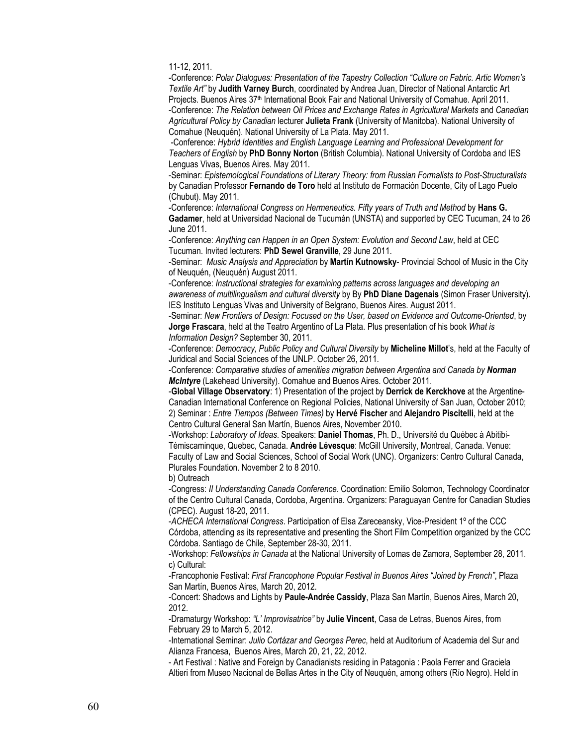11-12, 2011.

-Conference: *Polar Dialogues: Presentation of the Tapestry Collection "Culture on Fabric. Artic Women's Textile Art"* by **Judith Varney Burch**, coordinated by Andrea Juan, Director of National Antarctic Art Projects. Buenos Aires 37th International Book Fair and National University of Comahue. April 2011. -Conference: *The Relation between Oil Prices and Exchange Rates in Agricultural Markets* and *Canadian Agricultural Policy by Canadian* lecturer **Julieta Frank** (University of Manitoba). National University of Comahue (Neuquén). National University of La Plata. May 2011.

 -Conference: *Hybrid Identities and English Language Learning and Professional Development for Teachers of English* by **PhD Bonny Norton** (British Columbia). National University of Cordoba and IES Lenguas Vivas, Buenos Aires. May 2011.

-Seminar: *Epistemological Foundations of Literary Theory: from Russian Formalists to Post-Structuralists* by Canadian Professor **Fernando de Toro** held at Instituto de Formación Docente, City of Lago Puelo (Chubut). May 2011.

-Conference: *International Congress on Hermeneutics. Fifty years of Truth and Method* by **Hans G. Gadamer**, held at Universidad Nacional de Tucumán (UNSTA) and supported by CEC Tucuman, 24 to 26 June 2011.

-Conference: *Anything can Happen in an Open System: Evolution and Second Law*, held at CEC Tucuman. Invited lecturers: **PhD Sewel Granville**, 29 June 2011.

-Seminar: *Music Analysis and Appreciation* by **Martín Kutnowsky**- Provincial School of Music in the City of Neuquén, (Neuquén) August 2011.

-Conference: *Instructional strategies for examining patterns across languages and developing an awareness of multilingualism and cultural diversity* by By **PhD Diane Dagenais** (Simon Fraser University). IES Instituto Lenguas Vivas and University of Belgrano, Buenos Aires. August 2011.

-Seminar: *New Frontiers of Design: Focused on the User, based on Evidence and Outcome-Oriented*, by **Jorge Frascara**, held at the Teatro Argentino of La Plata. Plus presentation of his book *What is Information Design?* September 30, 2011.

-Conference: *Democracy, Public Policy and Cultural Diversity* by **Micheline Millot**'s, held at the Faculty of Juridical and Social Sciences of the UNLP. October 26, 2011.

-Conference: *Comparative studies of amenities migration between Argentina and Canada by Norman McIntyre* (Lakehead University). Comahue and Buenos Aires. October 2011.

-**Global Village Observatory**: 1) Presentation of the project by **Derrick de Kerckhove** at the Argentine-Canadian International Conference on Regional Policies, National University of San Juan, October 2010; 2) Seminar : *Entre Tiempos (Between Times)* by **Hervé Fischer** and **Alejandro Piscitelli**, held at the Centro Cultural General San Martín, Buenos Aires, November 2010.

-Workshop: *Laboratory of Ideas*. Speakers: **Daniel Thomas**, Ph. D., Université du Québec à Abitibi-Témiscaminque, Quebec, Canada. **Andrée Lévesque**: McGill University, Montreal, Canada. Venue: Faculty of Law and Social Sciences, School of Social Work (UNC). Organizers: Centro Cultural Canada, Plurales Foundation. November 2 to 8 2010.

b) Outreach

-Congress: *II Understanding Canada Conference*. Coordination: Emilio Solomon, Technology Coordinator of the Centro Cultural Canada, Cordoba, Argentina. Organizers: Paraguayan Centre for Canadian Studies (CPEC). August 18-20, 2011.

-*ACHECA International Congress*. Participation of Elsa Zareceansky, Vice-President 1º of the CCC Córdoba, attending as its representative and presenting the Short Film Competition organized by the CCC Córdoba. Santiago de Chile, September 28-30, 2011.

-Workshop: *Fellowships in Canada* at the National University of Lomas de Zamora, September 28, 2011. c) Cultural:

-Francophonie Festival: *First Francophone Popular Festival in Buenos Aires "Joined by French"*, Plaza San Martín, Buenos Aires, March 20, 2012.

-Concert: Shadows and Lights by **Paule-Andrée Cassidy**, Plaza San Martín, Buenos Aires, March 20, 2012.

-Dramaturgy Workshop: *"L' Improvisatrice"* by **Julie Vincent**, Casa de Letras, Buenos Aires, from February 29 to March 5, 2012.

-International Seminar: *Julio Cortázar and Georges Perec*, held at Auditorium of Academia del Sur and Alianza Francesa, Buenos Aires, March 20, 21, 22, 2012.

- Art Festival : Native and Foreign by Canadianists residing in Patagonia : Paola Ferrer and Graciela Altieri from Museo Nacional de Bellas Artes in the City of Neuquén, among others (Río Negro). Held in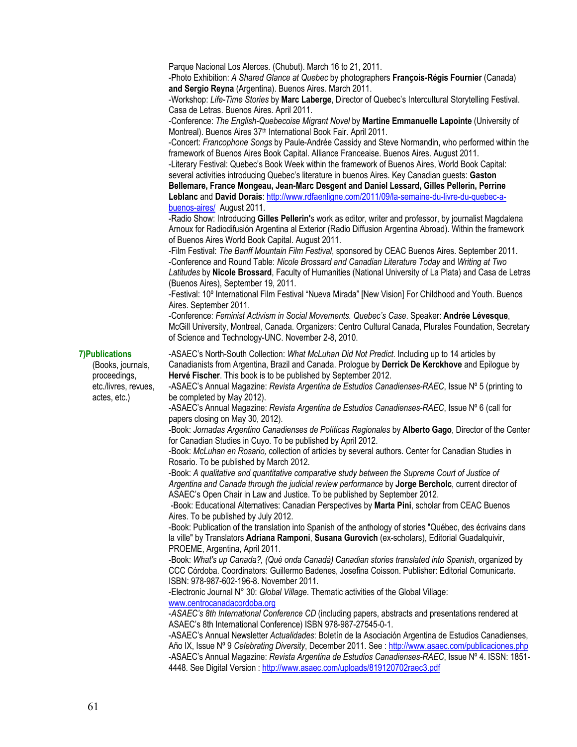Parque Nacional Los Alerces. (Chubut). March 16 to 21, 2011. -Photo Exhibition: *A Shared Glance at Quebec* by photographers **François-Régis Fournier** (Canada) **and Sergio Reyna** (Argentina). Buenos Aires. March 2011. -Workshop: *Life-Time Stories* by **Marc Laberge**, Director of Quebec's Intercultural Storytelling Festival. Casa de Letras. Buenos Aires. April 2011. -Conference: *The English-Quebecoise Migrant Novel* by **Martine Emmanuelle Lapointe** (University of Montreal). Buenos Aires 37th International Book Fair. April 2011. -Concert: *Francophone Songs* by Paule-Andrée Cassidy and Steve Normandin, who performed within the framework of Buenos Aires Book Capital. Alliance Franceaise. Buenos Aires. August 2011. -Literary Festival: Quebec's Book Week within the framework of Buenos Aires, World Book Capital: several activities introducing Quebec's literature in buenos Aires. Key Canadian guests: **Gaston Bellemare, France Mongeau, Jean-Marc Desgent and Daniel Lessard, Gilles Pellerin, Perrine Leblanc** and **David Dorais**: http://www.rdfaenligne.com/2011/09/la-semaine-du-livre-du-quebec-abuenos-aires/ August 2011. -Radio Show: Introducing **Gilles Pellerin'**s work as editor, writer and professor, by journalist Magdalena Arnoux for Radiodifusión Argentina al Exterior (Radio Diffusion Argentina Abroad). Within the framework of Buenos Aires World Book Capital. August 2011. -Film Festival: *The Banff Mountain Film Festival*, sponsored by CEAC Buenos Aires. September 2011. -Conference and Round Table: *Nicole Brossard and Canadian Literature Today* and *Writing at Two Latitudes* by **Nicole Brossard**, Faculty of Humanities (National University of La Plata) and Casa de Letras (Buenos Aires), September 19, 2011. -Festival: 10º International Film Festival "Nueva Mirada" [New Vision] For Childhood and Youth. Buenos Aires. September 2011. -Conference: *Feminist Activism in Social Movements. Quebec's Case*. Speaker: **Andrée Lévesque**, McGill University, Montreal, Canada. Organizers: Centro Cultural Canada, Plurales Foundation, Secretary of Science and Technology-UNC. November 2-8, 2010. **7)Publications**  -ASAEC's North-South Collection: *What McLuhan Did Not Predict*. Including up to 14 articles by Canadianists from Argentina, Brazil and Canada. Prologue by **Derrick De Kerckhove** and Epilogue by **Hervé Fischer**. This book is to be published by September 2012. -ASAEC's Annual Magazine: *Revista Argentina de Estudios Canadienses-RAEC*, Issue Nº 5 (printing to be completed by May 2012). -ASAEC's Annual Magazine: *Revista Argentina de Estudios Canadienses-RAEC*, Issue Nº 6 (call for papers closing on May 30, 2012). -Book: *Jornadas Argentino Canadienses de Políticas Regionales* by **Alberto Gago**, Director of the Center for Canadian Studies in Cuyo. To be published by April 2012. -Book: *McLuhan en Rosario,* collection of articles by several authors. Center for Canadian Studies in Rosario. To be published by March 2012*.* -Book: *A qualitative and quantitative comparative study between the Supreme Court of Justice of Argentina and Canada through the judicial review performance* by **Jorge Bercholc**, current director of ASAEC's Open Chair in Law and Justice. To be published by September 2012. -Book: Educational Alternatives: Canadian Perspectives by **Marta Pini**, scholar from CEAC Buenos Aires. To be published by July 2012. -Book: Publication of the translation into Spanish of the anthology of stories "Québec, des écrivains dans la ville" by Translators **Adriana Ramponi**, **Susana Gurovich** (ex-scholars), Editorial Guadalquivir, PROEME, Argentina, April 2011. -Book: *What's up Canada?, (Qué onda Canadá) Canadian stories translated into Spanish*, organized by CCC Córdoba. Coordinators: Guillermo Badenes, Josefina Coisson. Publisher: Editorial Comunicarte. ISBN: 978-987-602-196-8. November 2011. -Electronic Journal N° 30: *Global Village*. Thematic activities of the Global Village: www.centrocanadacordoba.org -*ASAEC's 8th International Conference CD* (including papers, abstracts and presentations rendered at ASAEC's 8th International Conference) ISBN 978-987-27545-0-1. -ASAEC's Annual Newsletter *Actualidades*: Boletín de la Asociación Argentina de Estudios Canadienses, Año IX, Issue Nº 9 *Celebrating Diversity*, December 2011. See : http://www.asaec.com/publicaciones.php -ASAEC's Annual Magazine: *Revista Argentina de Estudios Canadienses-RAEC*, Issue Nº 4. ISSN: 1851- 4448. See Digital Version : http://www.asaec.com/uploads/819120702raec3.pdf

(Books, journals, proceedings, etc./livres, revues, actes, etc.)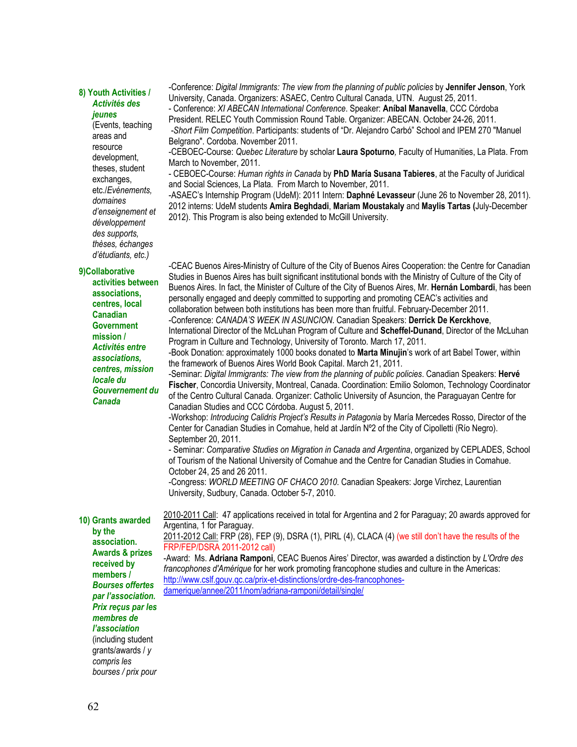## **8) Youth Activities /**  *Activités des*

## *jeunes*

(Events, teaching areas and resource development, theses, student exchanges, etc./*Evénements, domaines d'enseignement et développement des supports, thèses, échanges d'étudiants, etc.)*

#### **9)Collaborative**

**activities between associations, centres, local Canadian Government mission /**  *Activités entre associations, centres, mission locale du Gouvernement du Canada* 

**10) Grants awarded by the association. Awards & prizes received by members /**  *Bourses offertes par l'association. Prix reçus par les membres de l'association*  (including student grants/awards / *y compris les* 

*bourses / prix pour* 

-Conference: *Digital Immigrants: The view from the planning of public policies* by **Jennifer Jenson**, York University, Canada. Organizers: ASAEC, Centro Cultural Canada, UTN. August 25, 2011.

- Conference: *XI ABECAN International Conference*. Speaker: **Aníbal Manavella**, CCC Córdoba President. RELEC Youth Commission Round Table. Organizer: ABECAN. October 24-26, 2011.  *-Short Film Competition*. Participants: students of "Dr. Alejandro Carbó" School and IPEM 270 "Manuel

Belgrano". Cordoba. November 2011. -CEBOEC-Course: *Quebec Literature* by scholar **Laura Spoturno***,* Faculty of Humanities, La Plata. From

March to November, 2011. - CEBOEC-Course: *Human rights in Canada* by **PhD María Susana Tabieres**, at the Faculty of Juridical and Social Sciences, La Plata. From March to November, 2011.

-ASAEC's Internship Program (UdeM): 2011 Intern: **Daphné Levasseur** (June 26 to November 28, 2011). 2012 interns: UdeM students **Amira Beghdadi**, **Mariam Moustakaly** and **Maylis Tartas (**July-December 2012). This Program is also being extended to McGill University.

-CEAC Buenos Aires-Ministry of Culture of the City of Buenos Aires Cooperation: the Centre for Canadian Studies in Buenos Aires has built significant institutional bonds with the Ministry of Culture of the City of Buenos Aires. In fact, the Minister of Culture of the City of Buenos Aires, Mr. **Hernán Lombardi**, has been personally engaged and deeply committed to supporting and promoting CEAC's activities and collaboration between both institutions has been more than fruitful. February-December 2011. -Conference: *CANADA'S WEEK IN ASUNCION*. Canadian Speakers: **Derrick De Kerckhove**, International Director of the McLuhan Program of Culture and **Scheffel-Dunand**, Director of the McLuhan Program in Culture and Technology, University of Toronto. March 17, 2011.

-Book Donation: approximately 1000 books donated to **Marta Minujin**'s work of art Babel Tower, within the framework of Buenos Aires World Book Capital. March 21, 2011.

-Seminar: *Digital Immigrants: The view from the planning of public policies*. Canadian Speakers: **Hervé Fischer**, Concordia University, Montreal, Canada. Coordination: Emilio Solomon, Technology Coordinator of the Centro Cultural Canada. Organizer: Catholic University of Asuncion, the Paraguayan Centre for Canadian Studies and CCC Córdoba. August 5, 2011.

-Workshop: *Introducing Calidris Project's Results in Patagonia* by María Mercedes Rosso, Director of the Center for Canadian Studies in Comahue, held at Jardín Nº2 of the City of Cipolletti (Río Negro). September 20, 2011.

- Seminar: *Comparative Studies on Migration in Canada and Argentina*, organized by CEPLADES, School of Tourism of the National University of Comahue and the Centre for Canadian Studies in Comahue. October 24, 25 and 26 2011.

-Congress: *WORLD MEETING OF CHACO 2010*. Canadian Speakers: Jorge Virchez, Laurentian University, Sudbury, Canada. October 5-7, 2010.

2010-2011 Call: 47 applications received in total for Argentina and 2 for Paraguay; 20 awards approved for Argentina, 1 for Paraguay.

2011-2012 Call: FRP (28), FEP (9), DSRA (1), PIRL (4), CLACA (4) (we still don't have the results of the FRP/FEP/DSRA 2011-2012 call)

-Award: Ms. **Adriana Ramponi**, CEAC Buenos Aires' Director, was awarded a distinction by *L'Ordre des francophones d'Amérique* for her work promoting francophone studies and culture in the Americas: http://www.cslf.gouv.qc.ca/prix-et-distinctions/ordre-des-francophonesdamerique/annee/2011/nom/adriana-ramponi/detail/single/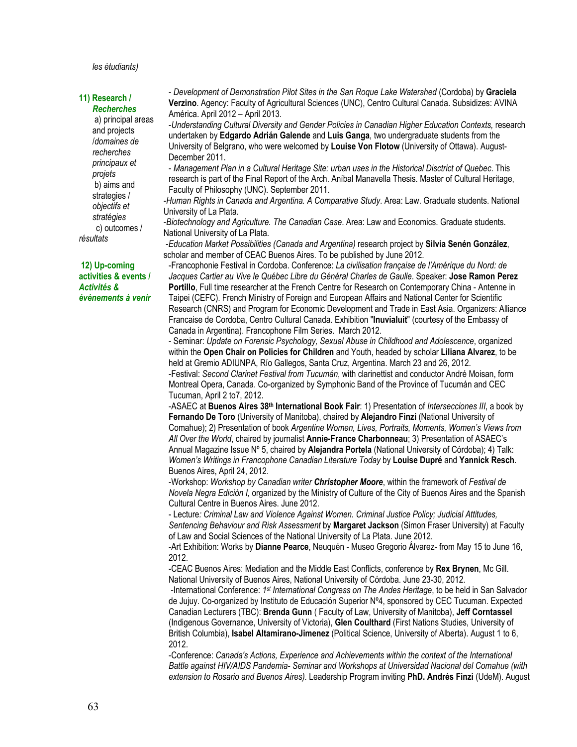#### *les étudiants)*

#### **11) Research /**  *Recherches*

 a) principal areas and projects /*domaines de recherches principaux et projets*  b) aims and strategies / *objectifs et stratégies*  c) outcomes / *résultats* 

**12) Up-coming activities & events /**  *Activités & événements à venir* 

- *Development of Demonstration Pilot Sites in the San Roque Lake Watershed* (Cordoba) by **Graciela Verzino**. Agency: Faculty of Agricultural Sciences (UNC), Centro Cultural Canada. Subsidizes: AVINA América. April 2012 – April 2013.

-*Understanding Cultural Diversity and Gender Policies in Canadian Higher Education Contexts,* research undertaken by **Edgardo Adrián Galende** and **Luis Ganga**, two undergraduate students from the University of Belgrano, who were welcomed by **Louise Von Flotow** (University of Ottawa). August-December 2011.

- *Management Plan in a Cultural Heritage Site: urban uses in the Historical Disctrict of Quebec*. This research is part of the Final Report of the Arch. Aníbal Manavella Thesis. Master of Cultural Heritage, Faculty of Philosophy (UNC). September 2011.

-*Human Rights in Canada and Argentina. A Comparative Study*. Area: Law. Graduate students. National University of La Plata.

-*Biotechnology and Agriculture. The Canadian Case*. Area: Law and Economics. Graduate students. National University of La Plata.

 -*Education Market Possibilities (Canada and Argentina)* research project by **Silvia Senén González**, scholar and member of CEAC Buenos Aires. To be published by June 2012.

-Francophonie Festival in Cordoba. Conference: *La civilisation française de l'Amérique du Nord: de Jacques Cartier au Vive le Québec Libre du Général Charles de Gaulle*. Speaker: **Jose Ramon Perez Portillo**, Full time researcher at the French Centre for Research on Contemporary China - Antenne in Taipei (CEFC). French Ministry of Foreign and European Affairs and National Center for Scientific Research (CNRS) and Program for Economic Development and Trade in East Asia. Organizers: Alliance Francaise de Cordoba, Centro Cultural Canada. Exhibition "**Inuvialuit**" (courtesy of the Embassy of Canada in Argentina). Francophone Film Series. March 2012.

- Seminar: *Update on Forensic Psychology, Sexual Abuse in Childhood and Adolescence*, organized within the **Open Chair on Policies for Children** and Youth, headed by scholar **Liliana Alvarez**, to be held at Gremio ADIUNPA, Río Gallegos, Santa Cruz, Argentina. March 23 and 26, 2012. -Festival: *Second Clarinet Festival from Tucumán*, with clarinettist and conductor André Moisan, form Montreal Opera, Canada. Co-organized by Symphonic Band of the Province of Tucumán and CEC Tucuman, April 2 to7, 2012.

-ASAEC at **Buenos Aires 38th International Book Fair**: 1) Presentation of *Intersecciones III*, a book by **Fernando De Toro** (University of Manitoba), chaired by **Alejandro Finzi** (National University of Comahue); 2) Presentation of book *Argentine Women, Lives, Portraits, Moments, Women's Views from All Over the World*, chaired by journalist **Annie-France Charbonneau**; 3) Presentation of ASAEC's Annual Magazine Issue Nº 5, chaired by **Alejandra Portela** (National University of Córdoba); 4) Talk: *Women's Writings in Francophone Canadian Literature Today* by **Louise Dupré** and **Yannick Resch**. Buenos Aires, April 24, 2012.

-Workshop: *Workshop by Canadian writer Christopher Moore*, within the framework of *Festival de Novela Negra Edición I,* organized by the Ministry of Culture of the City of Buenos Aires and the Spanish Cultural Centre in Buenos Aires. June 2012.

- Lecture*: Criminal Law and Violence Against Women. Criminal Justice Policy; Judicial Attitudes, Sentencing Behaviour and Risk Assessment* by **Margaret Jackson** (Simon Fraser University) at Faculty of Law and Social Sciences of the National University of La Plata. June 2012.

-Art Exhibition: Works by **Dianne Pearce**, Neuquén - Museo Gregorio Álvarez- from May 15 to June 16, 2012.

-CEAC Buenos Aires: Mediation and the Middle East Conflicts, conference by **Rex Brynen**, Mc Gill. National University of Buenos Aires, National University of Córdoba. June 23-30, 2012.

 -International Conference: *1st International Congress on The Andes Heritage*, to be held in San Salvador de Jujuy. Co-organized by Instituto de Educación Superior Nº4, sponsored by CEC Tucuman. Expected Canadian Lecturers (TBC): **Brenda Gunn** ( Faculty of Law, University of Manitoba), **Jeff Corntassel** (Indigenous Governance, University of Victoria), **Glen Coulthard** (First Nations Studies, University of British Columbia), **Isabel Altamirano-Jimenez** (Political Science, University of Alberta). August 1 to 6, 2012.

-Conference: *Canada's Actions, Experience and Achievements within the context of the International Battle against HIV/AIDS Pandemia- Seminar and Workshops at Universidad Nacional del Comahue (with extension to Rosario and Buenos Aires).* Leadership Program inviting **PhD. Andrés Finzi** (UdeM). August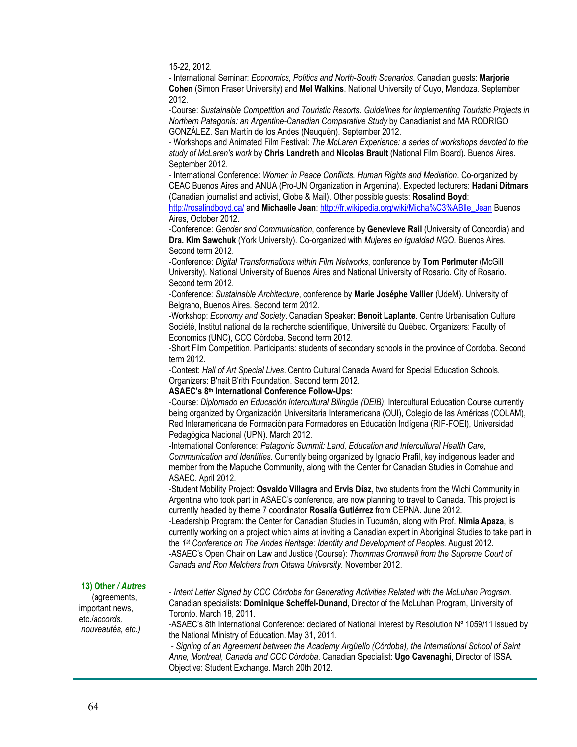15-22, 2012.

- International Seminar: *Economics, Politics and North-South Scenarios*. Canadian guests: **Marjorie Cohen** (Simon Fraser University) and **Mel Walkins**. National University of Cuyo, Mendoza. September 2012.

-Course: *Sustainable Competition and Touristic Resorts. Guidelines for Implementing Touristic Projects in Northern Patagonia: an Argentine-Canadian Comparative Study* by Canadianist and MA RODRIGO GONZÁLEZ. San Martín de los Andes (Neuquén). September 2012.

- Workshops and Animated Film Festival: *The McLaren Experience: a series of workshops devoted to the study of McLaren's work* by **Chris Landreth** and **Nicolas Brault** (National Film Board). Buenos Aires. September 2012.

- International Conference: *Women in Peace Conflicts. Human Rights and Mediation*. Co-organized by CEAC Buenos Aires and ANUA (Pro-UN Organization in Argentina). Expected lecturers: **Hadani Ditmars** (Canadian journalist and activist, Globe & Mail). Other possible guests: **Rosalind Boyd**:

http://rosalindboyd.ca/ and **Michaelle Jean**: http://fr.wikipedia.org/wiki/Micha%C3%ABlle\_Jean Buenos Aires, October 2012.

-Conference: *Gender and Communication*, conference by **Genevieve Rail** (University of Concordia) and **Dra. Kim Sawchuk** (York University). Co-organized with *Mujeres en Igualdad NGO*. Buenos Aires. Second term 2012.

-Conference: *Digital Transformations within Film Networks*, conference by **Tom Perlmuter** (McGill University). National University of Buenos Aires and National University of Rosario. City of Rosario. Second term 2012.

-Conference: *Sustainable Architecture*, conference by **Marie Joséphe Vallier** (UdeM). University of Belgrano, Buenos Aires. Second term 2012.

-Workshop: *Economy and Society*. Canadian Speaker: **Benoit Laplante**. Centre Urbanisation Culture Société, Institut national de la recherche scientifique, Université du Québec. Organizers: Faculty of Economics (UNC), CCC Córdoba. Second term 2012.

-Short Film Competition. Participants: students of secondary schools in the province of Cordoba. Second term 2012.

-Contest: *Hall of Art Special Lives*. Centro Cultural Canada Award for Special Education Schools. Organizers: B'nait B'rith Foundation. Second term 2012.

#### **ASAEC's 8th International Conference Follow-Ups:**

-Course: *Diplomado en Educación Intercultural Bilingüe (DEIB)*: Intercultural Education Course currently being organized by Organización Universitaria Interamericana (OUI), Colegio de las Américas (COLAM), Red Interamericana de Formación para Formadores en Educación Indígena (RIF-FOEI), Universidad Pedagógica Nacional (UPN). March 2012.

-International Conference: *Patagonic Summit: Land, Education and Intercultural Health Care, Communication and Identities*. Currently being organized by Ignacio Prafil, key indigenous leader and member from the Mapuche Community, along with the Center for Canadian Studies in Comahue and ASAEC. April 2012.

-Student Mobility Project: **Osvaldo Villagra** and **Ervis Díaz**, two students from the Wichi Community in Argentina who took part in ASAEC's conference, are now planning to travel to Canada. This project is currently headed by theme 7 coordinator **Rosalía Gutiérrez** from CEPNA. June 2012.

-Leadership Program: the Center for Canadian Studies in Tucumán, along with Prof. **Nimia Apaza**, is currently working on a project which aims at inviting a Canadian expert in Aboriginal Studies to take part in the *1st Conference on The Andes Heritage: Identity and Development of Peoples*. August 2012. -ASAEC's Open Chair on Law and Justice (Course): *Thommas Cromwell from the Supreme Court of Canada and Ron Melchers from Ottawa University.* November 2012.

### **13) Other** */ Autres*

 (agreements, important news, etc./*accords, nouveautés, etc.)* - *Intent Letter Signed by CCC Córdoba for Generating Activities Related with the McLuhan Program*. Canadian specialists: **Dominique Scheffel-Dunand**, Director of the McLuhan Program, University of Toronto. March 18, 2011.

-ASAEC's 8th International Conference: declared of National Interest by Resolution Nº 1059/11 issued by the National Ministry of Education. May 31, 2011.

 - *Signing of an Agreement between the Academy Argüello (Córdoba), the International School of Saint Anne, Montreal, Canada and CCC Córdoba*. Canadian Specialist: **Ugo Cavenaghi**, Director of ISSA. Objective: Student Exchange. March 20th 2012.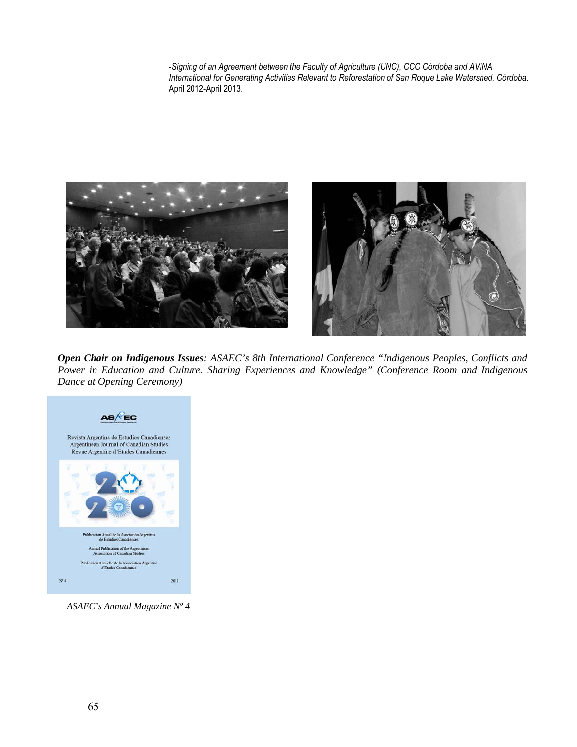-*Signing of an Agreement between the Faculty of Agriculture (UNC), CCC Córdoba and AVINA International for Generating Activities Relevant to Reforestation of San Roque Lake Watershed, Córdoba*. April 2012-April 2013.





*Open Chair on Indigenous Issues: ASAEC's 8th International Conference "Indigenous Peoples, Conflicts and Power in Education and Culture. Sharing Experiences and Knowledge" (Conference Room and Indigenous Dance at Opening Ceremony)*



 *ASAEC's Annual Magazine Nº 4*